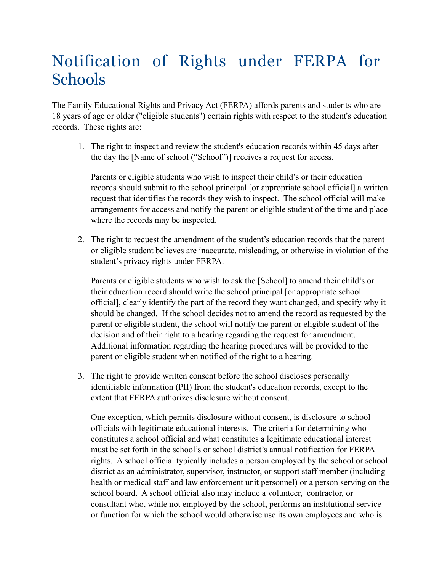## Notification of Rights under FERPA for Schools

The Family Educational Rights and Privacy Act (FERPA) affords parents and students who are 18 years of age or older ("eligible students") certain rights with respect to the student's education records. These rights are:

1. The right to inspect and review the student's education records within 45 days after the day the [Name of school ("School")] receives a request for access.

Parents or eligible students who wish to inspect their child's or their education records should submit to the school principal [or appropriate school official] a written request that identifies the records they wish to inspect. The school official will make arrangements for access and notify the parent or eligible student of the time and place where the records may be inspected.

2. The right to request the amendment of the student's education records that the parent or eligible student believes are inaccurate, misleading, or otherwise in violation of the student's privacy rights under FERPA.

Parents or eligible students who wish to ask the [School] to amend their child's or their education record should write the school principal [or appropriate school official], clearly identify the part of the record they want changed, and specify why it should be changed. If the school decides not to amend the record as requested by the parent or eligible student, the school will notify the parent or eligible student of the decision and of their right to a hearing regarding the request for amendment. Additional information regarding the hearing procedures will be provided to the parent or eligible student when notified of the right to a hearing.

3. The right to provide written consent before the school discloses personally identifiable information (PII) from the student's education records, except to the extent that FERPA authorizes disclosure without consent.

One exception, which permits disclosure without consent, is disclosure to school officials with legitimate educational interests. The criteria for determining who constitutes a school official and what constitutes a legitimate educational interest must be set forth in the school's or school district's annual notification for FERPA rights. A school official typically includes a person employed by the school or school district as an administrator, supervisor, instructor, or support staff member (including health or medical staff and law enforcement unit personnel) or a person serving on the school board. A school official also may include a volunteer, contractor, or consultant who, while not employed by the school, performs an institutional service or function for which the school would otherwise use its own employees and who is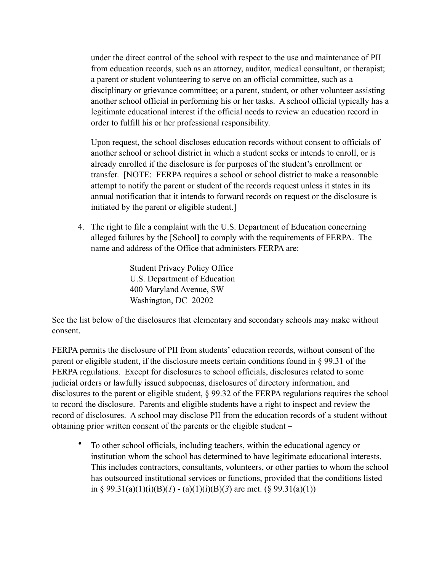under the direct control of the school with respect to the use and maintenance of PII from education records, such as an attorney, auditor, medical consultant, or therapist; a parent or student volunteering to serve on an official committee, such as a disciplinary or grievance committee; or a parent, student, or other volunteer assisting another school official in performing his or her tasks. A school official typically has a legitimate educational interest if the official needs to review an education record in order to fulfill his or her professional responsibility.

Upon request, the school discloses education records without consent to officials of another school or school district in which a student seeks or intends to enroll, or is already enrolled if the disclosure is for purposes of the student's enrollment or transfer. [NOTE: FERPA requires a school or school district to make a reasonable attempt to notify the parent or student of the records request unless it states in its annual notification that it intends to forward records on request or the disclosure is initiated by the parent or eligible student.]

4. The right to file a complaint with the U.S. Department of Education concerning alleged failures by the [School] to comply with the requirements of FERPA. The name and address of the Office that administers FERPA are:

> Student Privacy Policy Office U.S. Department of Education 400 Maryland Avenue, SW Washington, DC 20202

See the list below of the disclosures that elementary and secondary schools may make without consent.

FERPA permits the disclosure of PII from students' education records, without consent of the parent or eligible student, if the disclosure meets certain conditions found in § 99.31 of the FERPA regulations. Except for disclosures to school officials, disclosures related to some judicial orders or lawfully issued subpoenas, disclosures of directory information, and disclosures to the parent or eligible student, § 99.32 of the FERPA regulations requires the school to record the disclosure. Parents and eligible students have a right to inspect and review the record of disclosures. A school may disclose PII from the education records of a student without obtaining prior written consent of the parents or the eligible student –

• To other school officials, including teachers, within the educational agency or institution whom the school has determined to have legitimate educational interests. This includes contractors, consultants, volunteers, or other parties to whom the school has outsourced institutional services or functions, provided that the conditions listed in § 99.31(a)(1)(i)(B)(*l*) - (a)(1)(i)(B)(3) are met. (§ 99.31(a)(1))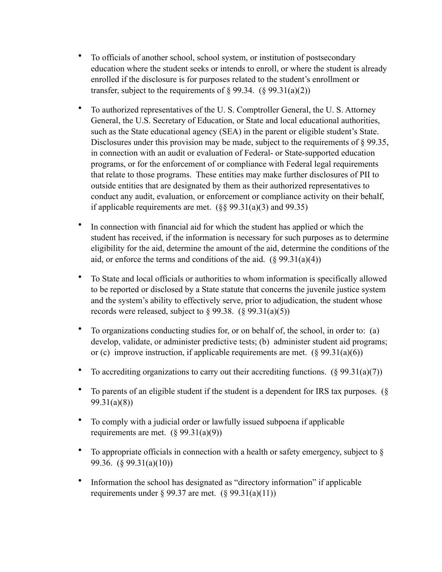- To officials of another school, school system, or institution of postsecondary education where the student seeks or intends to enroll, or where the student is already enrolled if the disclosure is for purposes related to the student's enrollment or transfer, subject to the requirements of  $\S 99.34.$  ( $\S 99.31(a)(2)$ )
- To authorized representatives of the U. S. Comptroller General, the U. S. Attorney General, the U.S. Secretary of Education, or State and local educational authorities, such as the State educational agency (SEA) in the parent or eligible student's State. Disclosures under this provision may be made, subject to the requirements of § 99.35, in connection with an audit or evaluation of Federal- or State-supported education programs, or for the enforcement of or compliance with Federal legal requirements that relate to those programs. These entities may make further disclosures of PII to outside entities that are designated by them as their authorized representatives to conduct any audit, evaluation, or enforcement or compliance activity on their behalf, if applicable requirements are met.  $(\frac{6}{5}, \frac{99.31(a)}{3})$  and 99.35)
- In connection with financial aid for which the student has applied or which the student has received, if the information is necessary for such purposes as to determine eligibility for the aid, determine the amount of the aid, determine the conditions of the aid, or enforce the terms and conditions of the aid.  $(\S 99.31(a)(4))$
- To State and local officials or authorities to whom information is specifically allowed to be reported or disclosed by a State statute that concerns the juvenile justice system and the system's ability to effectively serve, prior to adjudication, the student whose records were released, subject to  $\S 99.38$ .  $(\S 99.31(a)(5))$
- To organizations conducting studies for, or on behalf of, the school, in order to: (a) develop, validate, or administer predictive tests; (b) administer student aid programs; or (c) improve instruction, if applicable requirements are met.  $(\S 99.31(a)(6))$
- To accrediting organizations to carry out their accrediting functions.  $(\S 99.31(a)(7))$
- To parents of an eligible student if the student is a dependent for IRS tax purposes. (§ 99.31(a)(8))
- To comply with a judicial order or lawfully issued subpoena if applicable requirements are met.  $(\S 99.31(a)(9))$
- To appropriate officials in connection with a health or safety emergency, subject to § 99.36. (§ 99.31(a)(10))
- Information the school has designated as "directory information" if applicable requirements under  $\S 99.37$  are met.  $(\S 99.31(a)(11))$